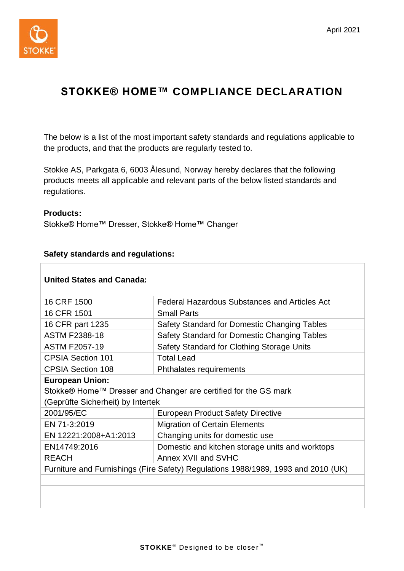

## **STOKKE® HOME™ COMPLIANCE DECLARATION**

The below is a list of the most important safety standards and regulations applicable to the products, and that the products are regularly tested to.

Stokke AS, Parkgata 6, 6003 Ålesund, Norway hereby declares that the following products meets all applicable and relevant parts of the below listed standards and regulations.

## **Products:**

 $\overline{\phantom{a}}$ 

Stokke® Home™ Dresser, Stokke® Home™ Changer

## **Safety standards and regulations:**

| <b>United States and Canada:</b>                                                  |                                                 |  |
|-----------------------------------------------------------------------------------|-------------------------------------------------|--|
| 16 CRF 1500                                                                       | Federal Hazardous Substances and Articles Act   |  |
| 16 CFR 1501                                                                       | <b>Small Parts</b>                              |  |
| 16 CFR part 1235                                                                  | Safety Standard for Domestic Changing Tables    |  |
| <b>ASTM F2388-18</b>                                                              | Safety Standard for Domestic Changing Tables    |  |
| <b>ASTM F2057-19</b>                                                              | Safety Standard for Clothing Storage Units      |  |
| <b>CPSIA Section 101</b>                                                          | <b>Total Lead</b>                               |  |
| <b>CPSIA Section 108</b>                                                          | Phthalates requirements                         |  |
| <b>European Union:</b>                                                            |                                                 |  |
| Stokke® Home™ Dresser and Changer are certified for the GS mark                   |                                                 |  |
| (Geprüfte Sicherheit) by Intertek                                                 |                                                 |  |
| 2001/95/EC                                                                        | <b>European Product Safety Directive</b>        |  |
| EN 71-3:2019                                                                      | <b>Migration of Certain Elements</b>            |  |
| EN 12221:2008+A1:2013                                                             | Changing units for domestic use                 |  |
| EN14749:2016                                                                      | Domestic and kitchen storage units and worktops |  |
| <b>REACH</b>                                                                      | Annex XVII and SVHC                             |  |
| Furniture and Furnishings (Fire Safety) Regulations 1988/1989, 1993 and 2010 (UK) |                                                 |  |
|                                                                                   |                                                 |  |
|                                                                                   |                                                 |  |
|                                                                                   |                                                 |  |